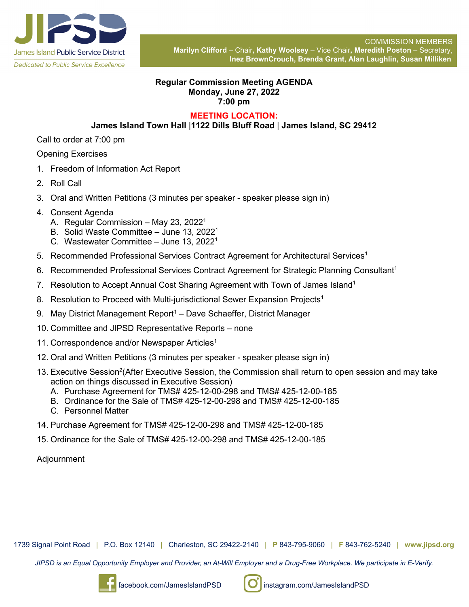

## **Regular Commission Meeting AGENDA Monday, June 27, 2022 7:00 pm**

## **MEETING LOCATION:**

## **James Island Town Hall** |**1122 Dills Bluff Road** | **James Island, SC 29412**

Call to order at 7:00 pm

Opening Exercises

- 1. Freedom of Information Act Report
- 2. Roll Call
- 3. Oral and Written Petitions (3 minutes per speaker speaker please sign in)
- 4. Consent Agenda
	- A. Regular Commission May 23, 2022<sup>1</sup>
	- B. Solid Waste Committee June 13, 20221
	- C. Wastewater Committee June 13, 2022<sup>1</sup>
- 5. Recommended Professional Services Contract Agreement for Architectural Services<sup>1</sup>
- 6. Recommended Professional Services Contract Agreement for Strategic Planning Consultant<sup>1</sup>
- 7. Resolution to Accept Annual Cost Sharing Agreement with Town of James Island<sup>1</sup>
- 8. Resolution to Proceed with Multi-jurisdictional Sewer Expansion Projects<sup>1</sup>
- 9. May District Management Report<sup>1</sup> Dave Schaeffer, District Manager
- 10. Committee and JIPSD Representative Reports none
- 11. Correspondence and/or Newspaper Articles<sup>1</sup>
- 12. Oral and Written Petitions (3 minutes per speaker speaker please sign in)
- 13. Executive Session<sup>2</sup>(After Executive Session, the Commission shall return to open session and may take action on things discussed in Executive Session)
	- A. Purchase Agreement for TMS# 425-12-00-298 and TMS# 425-12-00-185
	- B. Ordinance for the Sale of TMS# 425-12-00-298 and TMS# 425-12-00-185
	- C. Personnel Matter
- 14. Purchase Agreement for TMS# 425-12-00-298 and TMS# 425-12-00-185
- 15. Ordinance for the Sale of TMS# 425-12-00-298 and TMS# 425-12-00-185

Adjournment

1739 Signal Point Road | P.O. Box 12140 | Charleston, SC 29422-2140 | **P** 843-795-9060 | **F** 843-762-5240 | **www.jipsd.org**

*JIPSD is an Equal Opportunity Employer and Provider, an At-Will Employer and a Drug-Free Workplace. We participate in E-Verify.*